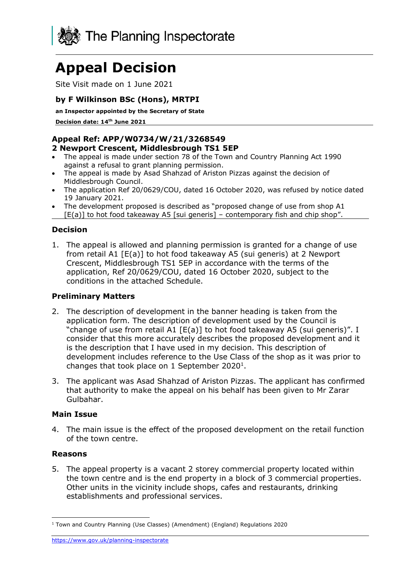

# **Appeal Decision**

Site Visit made on 1 June 2021

## **by F Wilkinson BSc (Hons), MRTPI**

**an Inspector appointed by the Secretary of State** 

**Decision date: 14th June 2021**

# **Appeal Ref: APP/W0734/W/21/3268549**

#### **2 Newport Crescent, Middlesbrough TS1 5EP**

- The appeal is made under section 78 of the Town and Country Planning Act 1990 against a refusal to grant planning permission.
- The appeal is made by Asad Shahzad of Ariston Pizzas against the decision of Middlesbrough Council.
- The application Ref 20/0629/COU, dated 16 October 2020, was refused by notice dated 19 January 2021.
- The development proposed is described as "proposed change of use from shop A1
- $[E(a)]$  to hot food takeaway A5 [sui generis] contemporary fish and chip shop".

#### **Decision**

1. The appeal is allowed and planning permission is granted for a change of use from retail A1 [E(a)] to hot food takeaway A5 (sui generis) at 2 Newport Crescent, Middlesbrough TS1 5EP in accordance with the terms of the application, Ref 20/0629/COU, dated 16 October 2020, subject to the conditions in the attached Schedule.

#### **Preliminary Matters**

- 2. The description of development in the banner heading is taken from the application form. The description of development used by the Council is "change of use from retail A1 [E(a)] to hot food takeaway A5 (sui generis)". I consider that this more accurately describes the proposed development and it is the description that I have used in my decision. This description of development includes reference to the Use Class of the shop as it was prior to changes that took place on  $1$  September 2020<sup>1</sup>.
- 3. The applicant was Asad Shahzad of Ariston Pizzas. The applicant has confirmed that authority to make the appeal on his behalf has been given to Mr Zarar Gulbahar.

#### **Main Issue**

4. The main issue is the effect of the proposed development on the retail function of the town centre.

#### **Reasons**

5. The appeal property is a vacant 2 storey commercial property located within the town centre and is the end property in a block of 3 commercial properties. Other units in the vicinity include shops, cafes and restaurants, drinking establishments and professional services.

<https://www.gov.uk/planning-inspectorate>

<sup>1</sup> Town and Country Planning (Use Classes) (Amendment) (England) Regulations 2020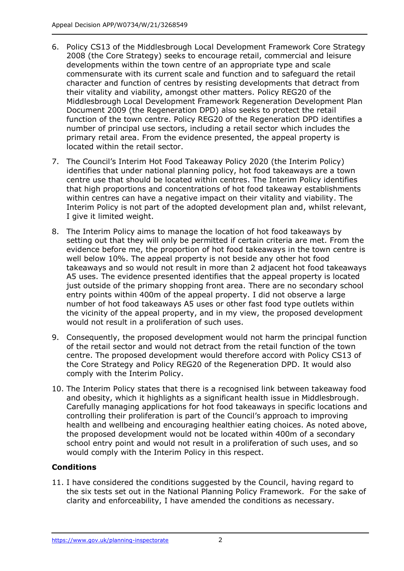- 6. Policy CS13 of the Middlesbrough Local Development Framework Core Strategy 2008 (the Core Strategy) seeks to encourage retail, commercial and leisure developments within the town centre of an appropriate type and scale commensurate with its current scale and function and to safeguard the retail character and function of centres by resisting developments that detract from their vitality and viability, amongst other matters. Policy REG20 of the Middlesbrough Local Development Framework Regeneration Development Plan Document 2009 (the Regeneration DPD) also seeks to protect the retail function of the town centre. Policy REG20 of the Regeneration DPD identifies a number of principal use sectors, including a retail sector which includes the primary retail area. From the evidence presented, the appeal property is located within the retail sector.
- 7. The Council's Interim Hot Food Takeaway Policy 2020 (the Interim Policy) identifies that under national planning policy, hot food takeaways are a town centre use that should be located within centres. The Interim Policy identifies that high proportions and concentrations of hot food takeaway establishments within centres can have a negative impact on their vitality and viability. The Interim Policy is not part of the adopted development plan and, whilst relevant, I give it limited weight.
- 8. The Interim Policy aims to manage the location of hot food takeaways by setting out that they will only be permitted if certain criteria are met. From the evidence before me, the proportion of hot food takeaways in the town centre is well below 10%. The appeal property is not beside any other hot food takeaways and so would not result in more than 2 adjacent hot food takeaways A5 uses. The evidence presented identifies that the appeal property is located just outside of the primary shopping front area. There are no secondary school entry points within 400m of the appeal property. I did not observe a large number of hot food takeaways A5 uses or other fast food type outlets within the vicinity of the appeal property, and in my view, the proposed development would not result in a proliferation of such uses.
- 9. Consequently, the proposed development would not harm the principal function of the retail sector and would not detract from the retail function of the town centre. The proposed development would therefore accord with Policy CS13 of the Core Strategy and Policy REG20 of the Regeneration DPD. It would also comply with the Interim Policy.
- 10. The Interim Policy states that there is a recognised link between takeaway food and obesity, which it highlights as a significant health issue in Middlesbrough. Carefully managing applications for hot food takeaways in specific locations and controlling their proliferation is part of the Council's approach to improving health and wellbeing and encouraging healthier eating choices. As noted above, the proposed development would not be located within 400m of a secondary school entry point and would not result in a proliferation of such uses, and so would comply with the Interim Policy in this respect.

#### **Conditions**

11. I have considered the conditions suggested by the Council, having regard to the six tests set out in the National Planning Policy Framework. For the sake of clarity and enforceability, I have amended the conditions as necessary.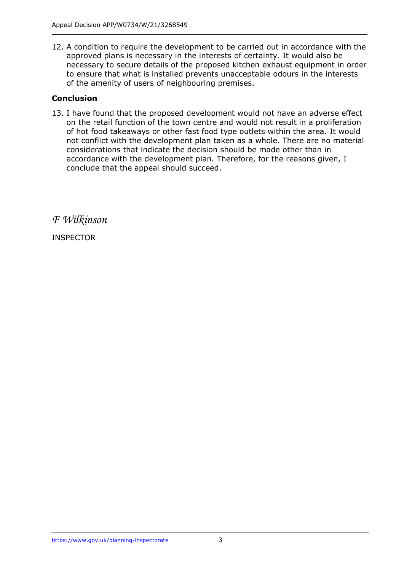12. A condition to require the development to be carried out in accordance with the approved plans is necessary in the interests of certainty. It would also be necessary to secure details of the proposed kitchen exhaust equipment in order to ensure that what is installed prevents unacceptable odours in the interests of the amenity of users of neighbouring premises.

### **Conclusion**

13. I have found that the proposed development would not have an adverse effect on the retail function of the town centre and would not result in a proliferation of hot food takeaways or other fast food type outlets within the area. It would not conflict with the development plan taken as a whole. There are no material considerations that indicate the decision should be made other than in accordance with the development plan. Therefore, for the reasons given, I conclude that the appeal should succeed.

*F Wilkinson*

INSPECTOR